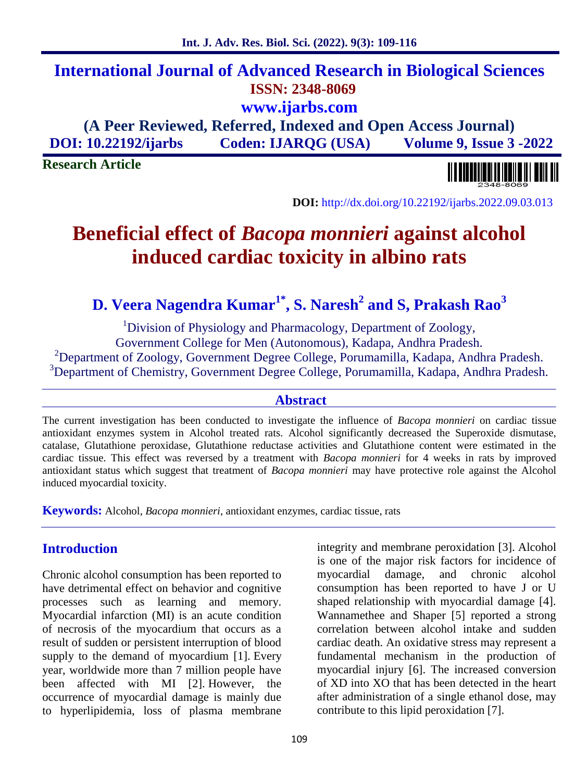## **International Journal of Advanced Research in Biological Sciences ISSN: 2348-8069 www.ijarbs.com**

**(A Peer Reviewed, Referred, Indexed and Open Access Journal) DOI: 10.22192/ijarbs Coden: IJARQG (USA) Volume 9, Issue 3 -2022**

**Research Article**

**DOI:** http://dx.doi.org/10.22192/ijarbs.2022.09.03.013

# **Beneficial effect of** *Bacopa monnieri* **against alcohol induced cardiac toxicity in albino rats**

**D. Veera Nagendra Kumar1\*, S. Naresh<sup>2</sup> and S, Prakash Rao<sup>3</sup>**

<sup>1</sup>Division of Physiology and Pharmacology, Department of Zoology, Government College for Men (Autonomous), Kadapa, Andhra Pradesh. <sup>2</sup>Department of Zoology, Government Degree College, Porumamilla, Kadapa, Andhra Pradesh. <sup>3</sup>Department of Chemistry, Government Degree College, Porumamilla, Kadapa, Andhra Pradesh.

#### **Abstract**

The current investigation has been conducted to investigate the influence of *Bacopa monnieri* on cardiac tissue antioxidant enzymes system in Alcohol treated rats. Alcohol significantly decreased the Superoxide dismutase, catalase, Glutathione peroxidase, Glutathione reductase activities and Glutathione content were estimated in the cardiac tissue. This effect was reversed by a treatment with *Bacopa monnieri* for 4 weeks in rats by improved antioxidant status which suggest that treatment of *Bacopa monnieri* may have protective role against the Alcohol induced myocardial toxicity.

**Keywords:** Alcohol, *Bacopa monnieri*, antioxidant enzymes, cardiac tissue, rats

## **Introduction**

Chronic alcohol consumption has been reported to have detrimental effect on behavior and cognitive processes such as learning and memory. Myocardial infarction (MI) is an acute condition of necrosis of the myocardium that occurs as a result of sudden or persistent interruption of blood supply to the demand of myocardium [1]. Every year, worldwide more than 7 million people have been affected with MI [2]. However, the occurrence of myocardial damage is mainly due to hyperlipidemia, loss of plasma membrane

integrity and membrane peroxidation [3]. Alcohol is one of the major risk factors for incidence of myocardial damage, and chronic alcohol consumption has been reported to have J or U shaped relationship with myocardial damage [4]. Wannamethee and Shaper [5] reported a strong correlation between alcohol intake and sudden cardiac death. An oxidative stress may represent a fundamental mechanism in the production of myocardial injury [6]. The increased conversion of XD into XO that has been detected in the heart after administration of a single ethanol dose, may contribute to this lipid peroxidation [7].

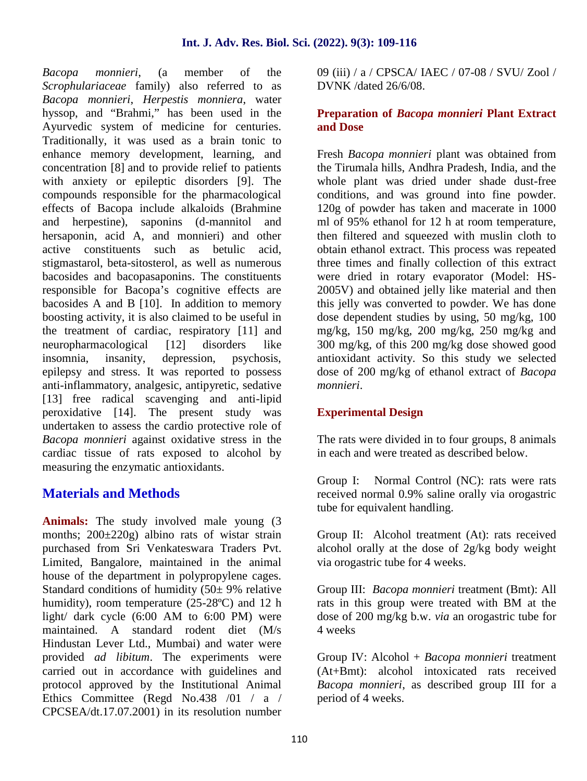*Bacopa monnieri*, (a member of the *Scrophulariaceae* family) also referred to as *Bacopa monnieri*, *Herpestis monniera*, water hyssop, and "Brahmi," has been used in the Ayurvedic system of medicine for centuries. Traditionally, it was used as a brain tonic to enhance memory development, learning, and concentration [8] and to provide relief to patients with anxiety or epileptic disorders [9]. The compounds responsible for the pharmacological effects of Bacopa include alkaloids (Brahmine and herpestine), saponins (d-mannitol and hersaponin, acid A, and monnieri) and other active constituents such as betulic acid, stigmastarol, beta-sitosterol, as well as numerous bacosides and bacopasaponins. The constituents responsible for Bacopa's cognitive effects are bacosides A and B [10]. In addition to memory boosting activity, it is also claimed to be useful in the treatment of cardiac, respiratory [11] and neuropharmacological [12] disorders like insomnia, insanity, depression, psychosis, epilepsy and stress. It was reported to possess anti-inflammatory, analgesic, antipyretic, sedative [13] free radical scavenging and anti-lipid peroxidative [14]. The present study was undertaken to assess the cardio protective role of *Bacopa monnieri* against oxidative stress in the cardiac tissue of rats exposed to alcohol by measuring the enzymatic antioxidants.

## **Materials and Methods**

**Animals:** The study involved male young (3 months;  $200\pm 220$ g) albino rats of wistar strain purchased from Sri Venkateswara Traders Pvt. Limited, Bangalore, maintained in the animal house of the department in polypropylene cages. Standard conditions of humidity  $(50 \pm 9\% \text{ relative})$ humidity), room temperature (25-28ºC) and 12 h light/ dark cycle (6:00 AM to 6:00 PM) were maintained. A standard rodent diet (M/s Hindustan Lever Ltd., Mumbai) and water were provided *ad libitum*. The experiments were carried out in accordance with guidelines and protocol approved by the Institutional Animal Ethics Committee (Regd No.438 /01 / a / CPCSEA/dt.17.07.2001) in its resolution number

09 (iii) / a / CPSCA/ IAEC / 07-08 / SVU/ Zool / DVNK /dated 26/6/08.

#### **Preparation of** *Bacopa monnieri* **Plant Extract and Dose**

Fresh *Bacopa monnieri* plant was obtained from the Tirumala hills, Andhra Pradesh, India, and the whole plant was dried under shade dust-free conditions, and was ground into fine powder. 120g of powder has taken and macerate in 1000 ml of 95% ethanol for 12 h at room temperature, then filtered and squeezed with muslin cloth to obtain ethanol extract. This process was repeated three times and finally collection of this extract were dried in rotary evaporator (Model: HS- 2005V) and obtained jelly like material and then this jelly was converted to powder. We has done dose dependent studies by using, 50 mg/kg, 100 mg/kg, 150 mg/kg, 200 mg/kg, 250 mg/kg and 300 mg/kg, of this 200 mg/kg dose showed good antioxidant activity. So this study we selected dose of 200 mg/kg of ethanol extract of *Bacopa monnieri*.

## **Experimental Design**

The rats were divided in to four groups, 8 animals in each and were treated as described below.

Group I: Normal Control (NC): rats were rats received normal 0.9% saline orally via orogastric tube for equivalent handling.

Group II: Alcohol treatment (At): rats received alcohol orally at the dose of 2g/kg body weight via orogastric tube for 4 weeks.

Group III: *Bacopa monnieri* treatment (Bmt): All rats in this group were treated with BM at the dose of 200 mg/kg b.w. *via* an orogastric tube for 4 weeks

Group IV: Alcohol + *Bacopa monnieri* treatment (At+Bmt): alcohol intoxicated rats received *Bacopa monnieri*, as described group III for a period of 4 weeks.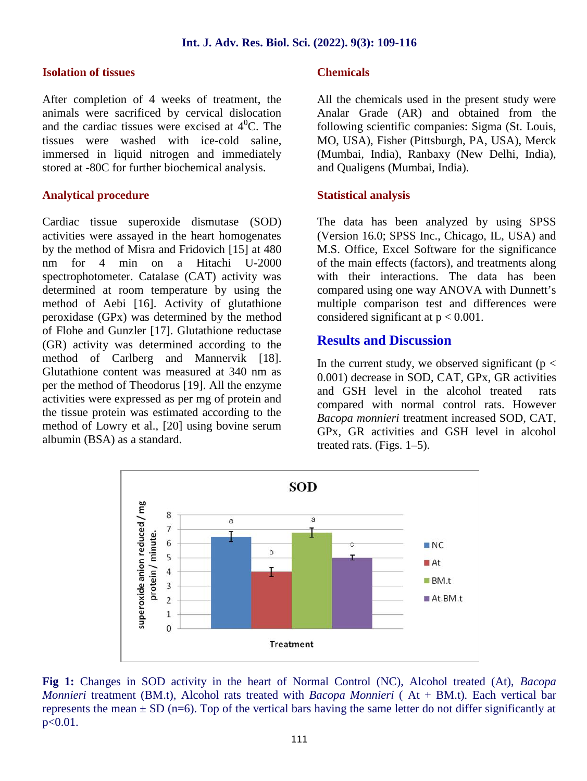#### **Isolation of tissues**

After completion of 4 weeks of treatment, the animals were sacrificed by cervical dislocation and the cardiac tissues were excised at  $4^0C$ . The tissues were washed with ice-cold saline, immersed in liquid nitrogen and immediately stored at -80C for further biochemical analysis.

#### **Analytical procedure**

Cardiac tissue superoxide dismutase (SOD) activities were assayed in the heart homogenates by the method of Misra and Fridovich [15] at 480 nm for 4 min on a Hitachi U-2000 spectrophotometer. Catalase (CAT) activity was determined at room temperature by using the method of Aebi [16]. Activity of glutathione peroxidase (GPx) was determined by the method of Flohe and Gunzler [17]. Glutathione reductase (GR) activity was determined according to the method of Carlberg and Mannervik [18]. Glutathione content was measured at 340 nm as per the method of Theodorus [19]. All the enzyme activities were expressed as per mg of protein and the tissue protein was estimated according to the method of Lowry et al., [20] using bovine serum albumin (BSA) as a standard.

#### **Chemicals**

All the chemicals used in the present study were Analar Grade (AR) and obtained from the following scientific companies: Sigma (St. Louis, MO, USA), Fisher (Pittsburgh, PA, USA), Merck (Mumbai, India), Ranbaxy (New Delhi, India), and Qualigens (Mumbai, India).

#### **Statistical analysis**

The data has been analyzed by using SPSS (Version 16.0; SPSS Inc., Chicago, IL, USA) and M.S. Office, Excel Software for the significance of the main effects (factors), and treatments along with their interactions. The data has been compared using one way ANOVA with Dunnett's multiple comparison test and differences were considered significant at  $p < 0.001$ .

### **Results and Discussion**

In the current study, we observed significant ( $p <$ 0.001) decrease in SOD, CAT, GPx, GR activities and GSH level in the alcohol treated rats compared with normal control rats. However *Bacopa monnieri* treatment increased SOD, CAT, GPx, GR activities and GSH level in alcohol treated rats. (Figs. 1–5).



**Fig 1:** Changes in SOD activity in the heart of Normal Control (NC), Alcohol treated (At), *Bacopa Monnieri* treatment (BM.t), Alcohol rats treated with *Bacopa Monnieri* ( At + BM.t)*.* Each vertical bar represents the mean  $\pm$  SD (n=6). Top of the vertical bars having the same letter do not differ significantly at  $p < 0.01$ .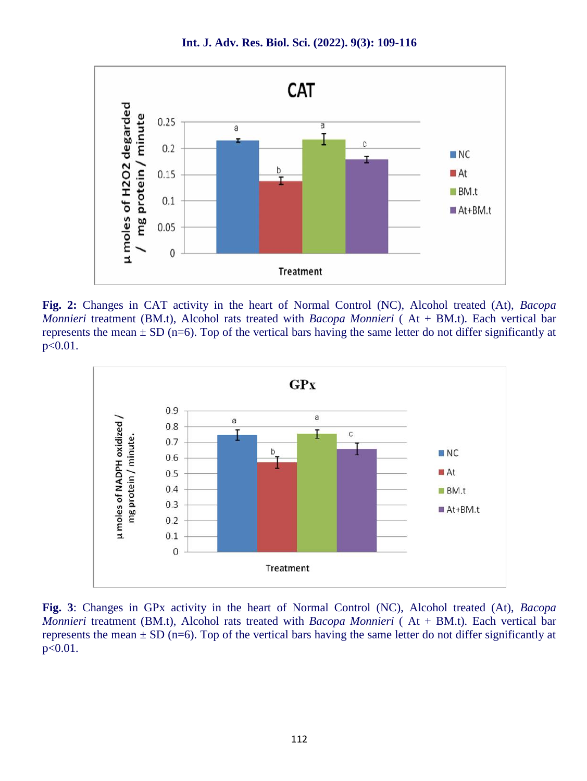

**Int. J. Adv. Res. Biol. Sci. (2022). 9(3): 109-116**

**Fig. 2:** Changes in CAT activity in the heart of Normal Control (NC), Alcohol treated (At), *Bacopa Monnieri* treatment (BM.t), Alcohol rats treated with *Bacopa Monnieri* ( At + BM.t)*.* Each vertical bar represents the mean  $\pm$  SD (n=6). Top of the vertical bars having the same letter do not differ significantly at  $p < 0.01$ .



**Fig. 3**: Changes in GPx activity in the heart of Normal Control (NC), Alcohol treated (At), *Bacopa Monnieri* treatment (BM.t), Alcohol rats treated with *Bacopa Monnieri* ( At + BM.t)*.* Each vertical bar represents the mean  $\pm$  SD (n=6). Top of the vertical bars having the same letter do not differ significantly at p<0.01.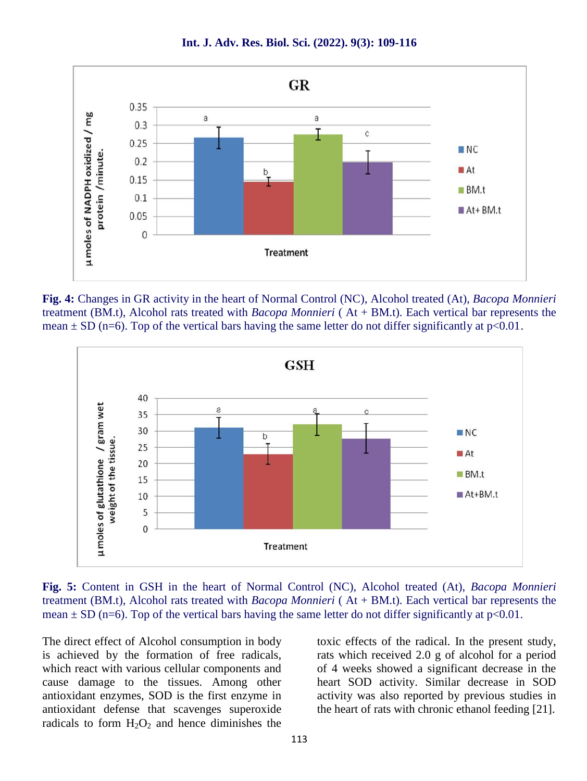

**Int. J. Adv. Res. Biol. Sci. (2022). 9(3): 109-116**

**Fig. 4:** Changes in GR activity in the heart of Normal Control (NC), Alcohol treated (At), *Bacopa Monnieri* treatment (BM.t), Alcohol rats treated with *Bacopa Monnieri* ( At + BM.t)*.* Each vertical bar represents the mean  $\pm$  SD (n=6). Top of the vertical bars having the same letter do not differ significantly at p<0.01.



**Fig. 5:** Content in GSH in the heart of Normal Control (NC), Alcohol treated (At), *Bacopa Monnieri* treatment (BM.t), Alcohol rats treated with *Bacopa Monnieri* ( At + BM.t)*.* Each vertical bar represents the mean  $\pm$  SD (n=6). Top of the vertical bars having the same letter do not differ significantly at p<0.01.

The direct effect of Alcohol consumption in body is achieved by the formation of free radicals, which react with various cellular components and cause damage to the tissues. Among other antioxidant enzymes, SOD is the first enzyme in antioxidant defense that scavenges superoxide radicals to form  $H_2O_2$  and hence diminishes the

toxic effects of the radical. In the present study, rats which received 2.0 g of alcohol for a period of 4 weeks showed a significant decrease in the heart SOD activity. Similar decrease in SOD activity was also reported by previous studies in the heart of rats with chronic ethanol feeding [21].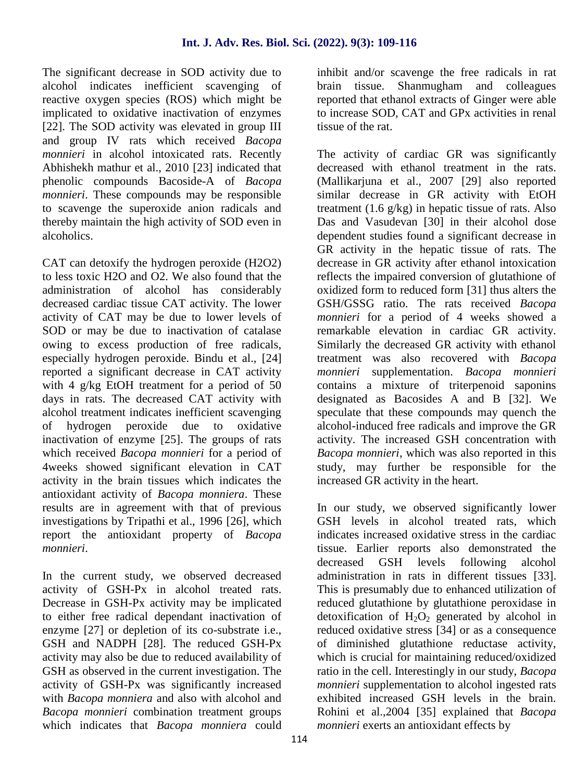The significant decrease in SOD activity due to alcohol indicates inefficient scavenging of reactive oxygen species (ROS) which might be implicated to oxidative inactivation of enzymes [22]. The SOD activity was elevated in group III and group IV rats which received *Bacopa monnieri* in alcohol intoxicated rats. Recently Abhishekh mathur et al., 2010 [23] indicated that phenolic compounds Bacoside-A of *Bacopa monnieri*. These compounds may be responsible to scavenge the superoxide anion radicals and thereby maintain the high activity of SOD even in alcoholics.

CAT can detoxify the hydrogen peroxide (H2O2) to less toxic H2O and O2. We also found that the administration of alcohol has considerably decreased cardiac tissue CAT activity. The lower activity of CAT may be due to lower levels of SOD or may be due to inactivation of catalase owing to excess production of free radicals, especially hydrogen peroxide. Bindu et al., [24] reported a significant decrease in CAT activity with 4 g/kg EtOH treatment for a period of 50 days in rats. The decreased CAT activity with alcohol treatment indicates inefficient scavenging of hydrogen peroxide due to oxidative inactivation of enzyme [25]. The groups of rats which received *Bacopa monnieri* for a period of 4weeks showed significant elevation in CAT activity in the brain tissues which indicates the antioxidant activity of *Bacopa monniera*. These results are in agreement with that of previous investigations by Tripathi et al., 1996 [26], which report the antioxidant property of *Bacopa monnieri*.

In the current study, we observed decreased activity of GSH-Px in alcohol treated rats. Decrease in GSH-Px activity may be implicated to either free radical dependant inactivation of enzyme [27] or depletion of its co-substrate i.e., GSH and NADPH [28]. The reduced GSH-Px activity may also be due to reduced availability of GSH as observed in the current investigation. The activity of GSH-Px was significantly increased with *Bacopa monniera* and also with alcohol and *Bacopa monnieri* combination treatment groups which indicates that *Bacopa monniera* could inhibit and/or scavenge the free radicals in rat brain tissue. Shanmugham and colleagues reported that ethanol extracts of Ginger were able to increase SOD, CAT and GPx activities in renal tissue of the rat.

The activity of cardiac GR was significantly decreased with ethanol treatment in the rats. (Mallikarjuna et al., 2007 [29] also reported similar decrease in GR activity with EtOH treatment  $(1.6 \text{ g/kg})$  in hepatic tissue of rats. Also Das and Vasudevan [30] in their alcohol dose dependent studies found a significant decrease in GR activity in the hepatic tissue of rats. The decrease in GR activity after ethanol intoxication reflects the impaired conversion of glutathione of oxidized form to reduced form [31] thus alters the GSH/GSSG ratio. The rats received *Bacopa monnieri* for a period of 4 weeks showed a remarkable elevation in cardiac GR activity. Similarly the decreased GR activity with ethanol treatment was also recovered with *Bacopa monnieri* supplementation. *Bacopa monnieri* contains a mixture of triterpenoid saponins designated as Bacosides A and B [32]. We speculate that these compounds may quench the alcohol-induced free radicals and improve the GR activity. The increased GSH concentration with *Bacopa monnieri*, which was also reported in this study, may further be responsible for the increased GR activity in the heart.

In our study, we observed significantly lower GSH levels in alcohol treated rats, which indicates increased oxidative stress in the cardiac tissue. Earlier reports also demonstrated the decreased GSH levels following alcohol administration in rats in different tissues [33]. This is presumably due to enhanced utilization of reduced glutathione by glutathione peroxidase in detoxification of  $H_2O_2$  generated by alcohol in reduced oxidative stress [34] or as a consequence of diminished glutathione reductase activity, which is crucial for maintaining reduced/oxidized ratio in the cell. Interestingly in our study, *Bacopa monnieri* supplementation to alcohol ingested rats exhibited increased GSH levels in the brain. Rohini et al.,2004 [35] explained that *Bacopa monnieri* exerts an antioxidant effects by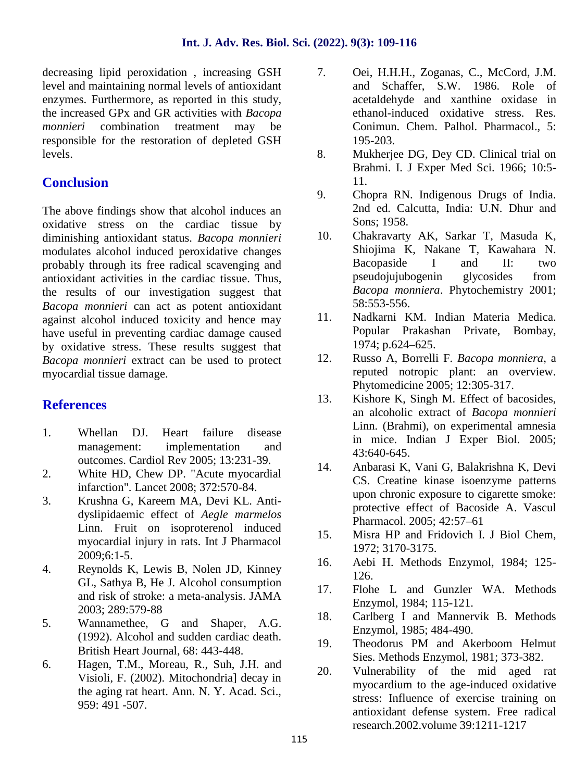decreasing lipid peroxidation, increasing GSH 7. level and maintaining normal levels of antioxidant enzymes. Furthermore, as reported in this study, the increased GPx and GR activities with *Bacopa monnieri* combination treatment may be responsible for the restoration of depleted GSH levels.

## **Conclusion**

The above findings show that alcohol induces an oxidative stress on the cardiac tissue by<br>diminishing antioxidant status *Bacona monnieri* 10. diminishing antioxidant status. *Bacopa monnieri* modulates alcohol induced peroxidative changes probably through its free radical scavenging and antioxidant activities in the cardiac tissue. Thus, the results of our investigation suggest that *Bacopa monnieri* can act as potent antioxidant against alcohol induced toxicity and hence may 11. have useful in preventing cardiac damage caused by oxidative stress. These results suggest that *Bacopa monnieri* extract can be used to protect myocardial tissue damage.

## **References**

- 1. Whellan DJ. Heart failure disease management: implementation and outcomes. Cardiol Rev 2005; 13:231-39.
- 2. White HD, Chew DP. "Acute myocardial infarction". Lancet 2008; 372:570-84.
- 3. Krushna G, Kareem MA, Devi KL. Anti dyslipidaemic effect of *Aegle marmelos* Linn. Fruit on isoproterenol induced 15. myocardial injury in rats. Int J Pharmacol 2009;6:1-5.
- $2002, 0.1-3.$ <br>4. Reynolds K, Lewis B, Nolen JD, Kinney 16. GL, Sathya B, He J. Alcohol consumption and risk of stroke: a meta-analysis. JAMA 2003; 289:579-88
- 5. Wannamethee, G and Shaper, A.G. (1992). Alcohol and sudden cardiac death. British Heart Journal, 68: 443-448.
- 6. Hagen, T.M., Moreau, R., Suh, J.H. and Visioli, F. (2002). Mitochondria] decay in the aging rat heart. Ann. N. Y. Acad. Sci., 959: 491 -507.
- 7. Oei, H.H.H., Zoganas, C., McCord, J.M. and Schaffer, S.W. 1986. Role of acetaldehyde and xanthine oxidase in ethanol-induced oxidative stress. Res. Conimun. Chem. Palhol. Pharmacol., 5: 195-203.
- 8. Mukherjee DG, Dey CD. Clinical trial on Brahmi. I. J Exper Med Sci. 1966; 10:5- 11.
- 9. Chopra RN. Indigenous Drugs of India. 2nd ed. Calcutta, India: U.N. Dhur and Sons; 1958.
- 10. Chakravarty AK, Sarkar T, Masuda K, Shiojima K, Nakane T, Kawahara N. Bacopaside I and II: two pseudojujubogenin glycosides from *Bacopa monniera*. Phytochemistry 2001; 58:553-556.
- Nadkarni KM. Indian Materia Medica. Popular Prakashan Private, Bombay, 1974; p.624–625.
- 12. Russo A, Borrelli F. *Bacopa monniera*, a reputed notropic plant: an overview. Phytomedicine 2005; 12:305-317.
- 13. Kishore K, Singh M. Effect of bacosides, an alcoholic extract of *Bacopa monnieri* Linn. (Brahmi), on experimental amnesia in mice. Indian J Exper Biol. 2005; 43:640-645.
- 14. Anbarasi K, Vani G, Balakrishna K, Devi CS. Creatine kinase isoenzyme patterns upon chronic exposure to cigarette smoke: protective effect of Bacoside A. Vascul Pharmacol. 2005; 42:57–61
- Misra HP and Fridovich I. J Biol Chem, 1972; 3170-3175.
- 16. Aebi H. Methods Enzymol, 1984; 125- 126.
- Flohe L and Gunzler WA. Methods Enzymol, 1984; 115-121.
- 18. Carlberg I and Mannervik B. Methods Enzymol, 1985; 484-490.
- 19. Theodorus PM and Akerboom Helmut Sies. Methods Enzymol, 1981; 373-382.
- Vulnerability of the mid aged rat myocardium to the age-induced oxidative stress: Influence of exercise training on antioxidant defense system. Free radical research.2002.volume 39:1211-1217